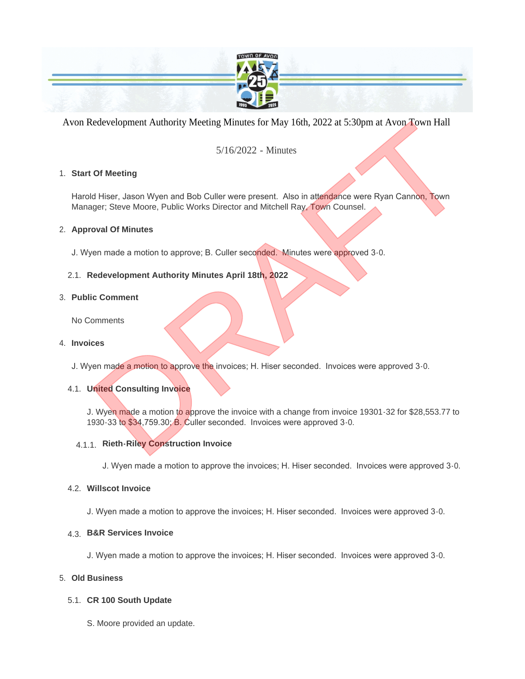

Avon Redevelopment Authority Meeting Minutes for May 16th, 2022 at 5:30pm at Avon Town Hall

# 5/16/2022 - Minutes

### **Start Of Meeting** 1.

Harold Hiser, Jason Wyen and Bob Culler were present. Also in attendance were Ryan Cannon, Town Manager; Steve Moore, Public Works Director and Mitchell Ray, Town Counsel.

## **Approval Of Minutes** 2.

J. Wyen made a motion to approve; B. Culler seconded. Minutes were approved 3-0.

# **Redevelopment Authority Minutes April 18th, 2022** 2.1.

### **Public Comment** 3.

No Comments

## **Invoices** 4.

J. Wyen made a motion to approve the invoices; H. Hiser seconded. Invoices were approved 3-0.

# **United Consulting Invoice** 4.1.

J. Wyen made a motion to approve the invoice with a change from invoice 19301-32 for \$28,553.77 to 1930-33 to \$34,759.30; B. Culler seconded. Invoices were approved 3-0. Edevelopment Authority Meeting Minutes for May 16th, 2022 at 5:30pm at Avon Town Hall<br>
5/16/2022 - Minutes<br>
Of Meeting<br>
Of Meeting<br>
Of Meeting<br>
Of Society also Wyen and Bob Culler were present. Also in attendance were Ryan

# **Rieth-Riley Construction Invoice**  4.1.1.

J. Wyen made a motion to approve the invoices; H. Hiser seconded. Invoices were approved 3-0.

### **Willscot Invoice** 4.2.

J. Wyen made a motion to approve the invoices; H. Hiser seconded. Invoices were approved 3-0.

# **B&R Services Invoice**  4.3.

J. Wyen made a motion to approve the invoices; H. Hiser seconded. Invoices were approved 3-0.

#### **Old Business** 5.

# **CR 100 South Update** 5.1.

S. Moore provided an update.